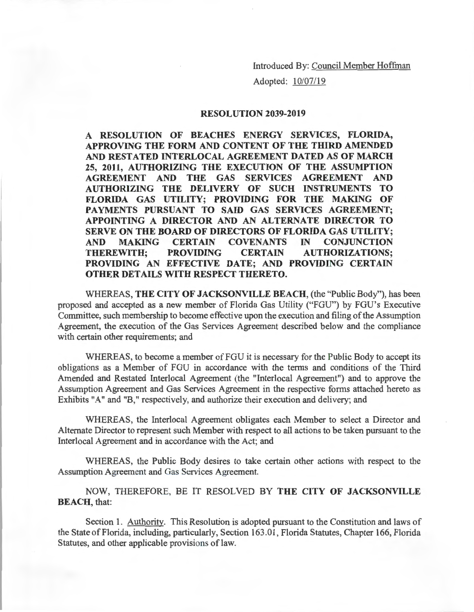Adopted: 10/07/19

## **RESOLUTION 2039-2019**

**A RESOLUTION OF BEACHES ENERGY SERVICES, FLORIDA, APPROVING THE FORM AND CONTENT OF THE THIRD AMENDED AND RESTATED INTERLOCAL AGREEMENT DATED AS OF MARCH 25, 2011, AUTHORIZING THE EXECUTION OF THE ASSUMPTION AGREEMENT AND THE GAS SERVICES AGREEMENT AND AUTHORIZING THE DELIVERY OF SUCH INSTRUMENTS TO FLORIDA GAS UTILITY; PROVIDING FOR THE MAKING OF PAYMENTS PURSUANT TO SAID GAS SERVICES AGREEMENT; APPOINTING A DIRECTOR AND AN ALTERNATE DIRECTOR TO SERVE ON THE BOARD OF DIRECTORS OF FLORIDA GAS UTILITY; AND MAKING CERTAIN COVENANTS IN CONJUNCTION THEREWITH; PROVIDING CERTAIN AUTHORIZATIONS; PROVIDING AN EFFECTIVE DATE; AND PROVIDING CERTAIN OTHER DETAILS WITH RESPECT THERETO.** 

WHEREAS, **THE CITY OF JACKSONVILLE BEACH,** (the "Public Body"), has been proposed and accepted as a new member of Florida Gas Utility ("FGU") by FGU's Executive Committee, such membership to become effective upon the execution and filing of the Assumption Agreement, the execution of the Gas Services Agreement described below and the compliance with certain other requirements; and

WHEREAS, to become a member of FGU it is necessary for the Public Body to accept its obligations as a Member of FGU in accordance with the terms and conditions of the Third Amended and Restated Interlocal Agreement (the "Interlocal Agreement") and to approve the Assumption Agreement and Gas Services Agreement in the respective forms attached hereto as Exhibits "A" and "B," respectively, and authorize their execution and delivery; and

WHEREAS, the Interlocal Agreement obligates each Member to select a Director and Alternate Director to represent such Member with respect to all actions to be taken pursuant to the Interlocal Agreement and in accordance with the Act; and

WHEREAS, the Public Body desires to take certain other actions with respect to the Assumption Agreement and Gas Services Agreement.

NOW, THEREFORE, BE IT RESOLVED BY **THE CITY OF JACKSONVILLE BEACH,** that:

Section 1. Authority. This Resolution is adopted pursuant to the Constitution and laws of the State of Florida, including, particularly, Section 163.01 , Florida Statutes, Chapter 166, Florida Statutes, and other applicable provisions of law.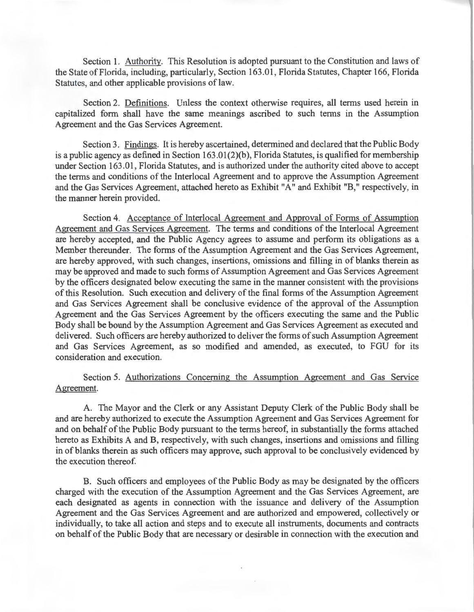Section 1. Authority. This Resolution is adopted pursuant to the Constitution and laws of the State of Florida, including, particularly, Section 163.01 , Florida Statutes, Chapter 166, Florida Statutes, and other applicable provisions of law.

Section 2. Definitions. Unless the context otherwise requires, all terms used herein in capitalized form shall have the same meanings ascribed to such terms in the Assumption Agreement and the Gas Services Agreement.

Section 3. Findings. It is hereby ascertained, determined and declared that the Public Body is a public agency as defined in Section  $163.01(2)(b)$ , Florida Statutes, is qualified for membership under Section 163.01, Florida Statutes, and is authorized under the authority cited above to accept the terms and conditions of the Interlocal Agreement and to approve the Assumption Agreement and the Gas Services Agreement, attached hereto as Exhibit "A" and Exhibit "B," respectively, in the manner herein provided.

Section 4. Acceptance of Interlocal Agreement and Approval of Forms of Assumption Agreement and Gas Services Agreement. The terms and conditions of the Interlocal Agreement are hereby accepted, and the Public Agency agrees to assume and perform its obligations as a Member thereunder. The forms of the Assumption Agreement and the Gas Services Agreement, are hereby approved, with such changes, insertions, omissions and filling in of blanks therein as may be approved and made to such forms of Assumption Agreement and Gas Services Agreement by the officers designated below executing the same in the manner consistent with the provisions of this Resolution. Such execution and delivery of the final forms of the Assumption Agreement and Gas Services Agreement shall be conclusive evidence of the approval of the Assumption Agreement and the Gas Services Agreement by the officers executing the same and the Public Body shall be bound by the Assumption Agreement and Gas Services Agreement as executed and delivered. Such officers are hereby authorized to deliver the forms of such Assumption Agreement and Gas Services Agreement, as so modified and amended, as executed, to FGU for its consideration and execution.

## Section 5. Authorizations Concerning the Assumption Agreement and Gas Service Agreement.

A. The Mayor and the Clerk or any Assistant Deputy Clerk of the Public Body shall be and are hereby authorized to execute the Assumption Agreement and Gas Services Agreement for and on behalf of the Public Body pursuant to the terms hereof, in substantially the forms attached hereto as Exhibits A and B, respectively, with such changes, insertions and omissions and filling in of blanks therein as such officers may approve, such approval to be conclusively evidenced by the execution thereof.

B. Such officers and employees of the Public Body as may be designated by the officers charged with the execution of the Assumption Agreement and the Gas Services Agreement, are each designated as agents in connection with the issuance and delivery of the Assumption Agreement and the Gas Services Agreement and are authorized and empowered, collectively or individually, to take all action and steps and to execute all instruments, documents and contracts on behalf of the Public Body that are necessary or desirable in connection with the execution and